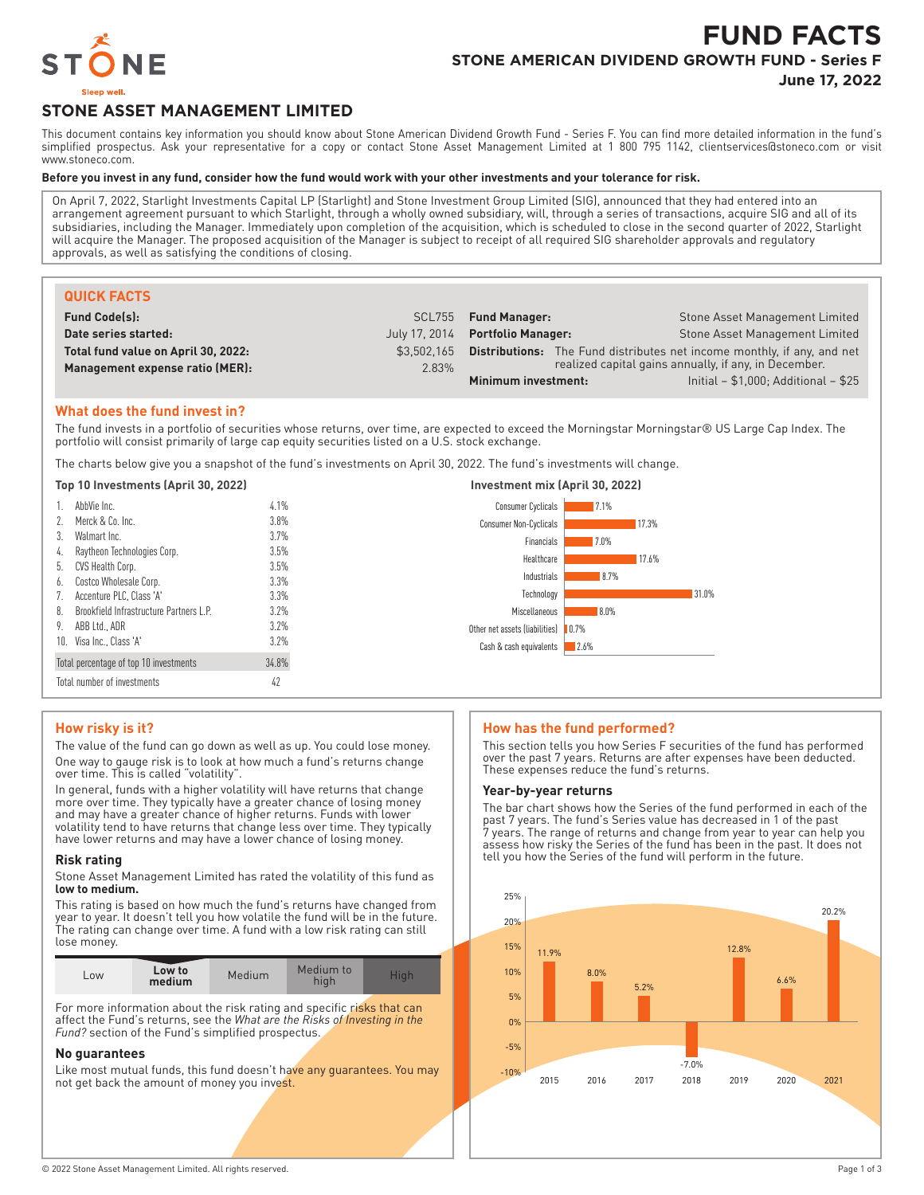

# **FUND FACTS STONE AMERICAN DIVIDEND GROWTH FUND - Series F**

**June 17, 2022**

# **STONE ASSET MANAGEMENT LIMITED**

This document contains key information you should know about Stone American Dividend Growth Fund - Series F. You can find more detailed information in the fund's simplified prospectus. Ask your representative for a copy or contact Stone Asset Management Limited at 1 800 795 1142, clientservices@stoneco.com or visit www.stoneco.com.

#### **Before you invest in any fund, consider how the fund would work with your other investments and your tolerance for risk.**

On April 7, 2022, Starlight Investments Capital LP (Starlight) and Stone Investment Group Limited (SIG), announced that they had entered into an arrangement agreement pursuant to which Starlight, through a wholly owned subsidiary, will, through a series of transactions, acquire SIG and all of its subsidiaries, including the Manager. Immediately upon completion of the acquisition, which is scheduled to close in the second quarter of 2022, Starlight will acquire the Manager. The proposed acquisition of the Manager is subject to receipt of all required SIG shareholder approvals and regulatory approvals, as well as satisfying the conditions of closing.

| <b>QUICK FACTS</b>                  |               |                                                                                |                                       |
|-------------------------------------|---------------|--------------------------------------------------------------------------------|---------------------------------------|
| <b>Fund Code(s):</b>                |               | SCL755 Fund Manager:                                                           | <b>Stone Asset Management Limited</b> |
| Date series started:                | July 17, 2014 | <b>Portfolio Manager:</b>                                                      | Stone Asset Management Limited        |
| Total fund value on April 30, 2022: | \$3.502.165   | <b>Distributions:</b> The Fund distributes net income monthly, if any, and net |                                       |
| Management expense ratio (MER):     | 2.83%         | realized capital gains annually, if any, in December.                          |                                       |
|                                     |               | Initial $- $1,000$ ; Additional $- $25$<br>Minimum investment:                 |                                       |

#### **What does the fund invest in?**

10. Visa Inc., Class 'A' 3.2% Total percentage of top 10 investments 34.8% Total number of investments 42

The fund invests in a portfolio of securities whose returns, over time, are expected to exceed the Morningstar Morningstar® US Large Cap Index. The portfolio will consist primarily of large cap equity securities listed on a U.S. stock exchange.

The charts below give you a snapshot of the fund's investments on April 30, 2022. The fund's investments will change.

| Top 10 Investments (April 30, 2022) |                                         | Investment mix (April 30, 2022) |                                     |      |       |
|-------------------------------------|-----------------------------------------|---------------------------------|-------------------------------------|------|-------|
|                                     | AbbVie Inc.                             | 4.1%                            | Consumer Cyclicals                  | 7.1% |       |
| $\mathcal{L}$                       | Merck & Co. Inc.                        | 3.8%                            | Consumer Non-Cyclicals              |      | 17.3% |
| 3.                                  | Walmart Inc.                            | 3.7%                            | Financials                          | 7.0% |       |
| 4.                                  | Raytheon Technologies Corp.             | 3.5%                            | Healthcare                          |      | 17.6% |
|                                     | 5. CVS Health Corp.                     | 3.5%                            |                                     |      |       |
| 6.                                  | Costco Wholesale Corp.                  | 3.3%                            | Industrials                         | 8.7% |       |
|                                     | Accenture PLC, Class 'A'                | 3.3%                            | Technology                          |      |       |
| 8.                                  | Brookfield Infrastructure Partners L.P. | 3.2%                            | Miscellaneous                       | 8.0% |       |
| 9.                                  | ABB Ltd., ADR                           | 3.2%                            | Other net assets (liabilities) 0.7% |      |       |

## **How risky is it?**

The value of the fund can go down as well as up. You could lose money. One way to gauge risk is to look at how much a fund's returns change over time. This is called "volatility".

In general, funds with a higher volatility will have returns that change more over time. They typically have a greater chance of losing money and may have a greater chance of higher returns. Funds with lower volatility tend to have returns that change less over time. They typically have lower returns and may have a lower chance of losing money.

#### **Risk rating**

Stone Asset Management Limited has rated the volatility of this fund as **low to medium.**

This rating is based on how much the fund's returns have changed from year to year. It doesn't tell you how volatile the fund will be in the future. The rating can change over time. A fund with a low risk rating can still lose money.

| Low to<br>LOW<br>medium | Medium | Medium to<br>hiah | Hiah |
|-------------------------|--------|-------------------|------|
|-------------------------|--------|-------------------|------|

For more information about the risk rating and specific risks that can affect the Fund's returns, see the *What are the Risks of Investing in the Fund?* section of the Fund's simplified prospectus.

#### **No guarantees**

Like most mutual funds, this fund doesn't have any guarantees. You may not get back the amount of money you invest.

#### **How has the fund performed?**

2.6%

This section tells you how Series F securities of the fund has performed over the past 7 years. Returns are after expenses have been deducted. These expenses reduce the fund's returns.

31.0%

#### **Year-by-year returns**

Cash & cash equivalents

The bar chart shows how the Series of the fund performed in each of the past 7 years. The fund's Series value has decreased in 1 of the past 7 years. The range of returns and change from year to year can help you assess how risky the Series of the fund has been in the past. It does not tell you how the Series of the fund will perform in the future.

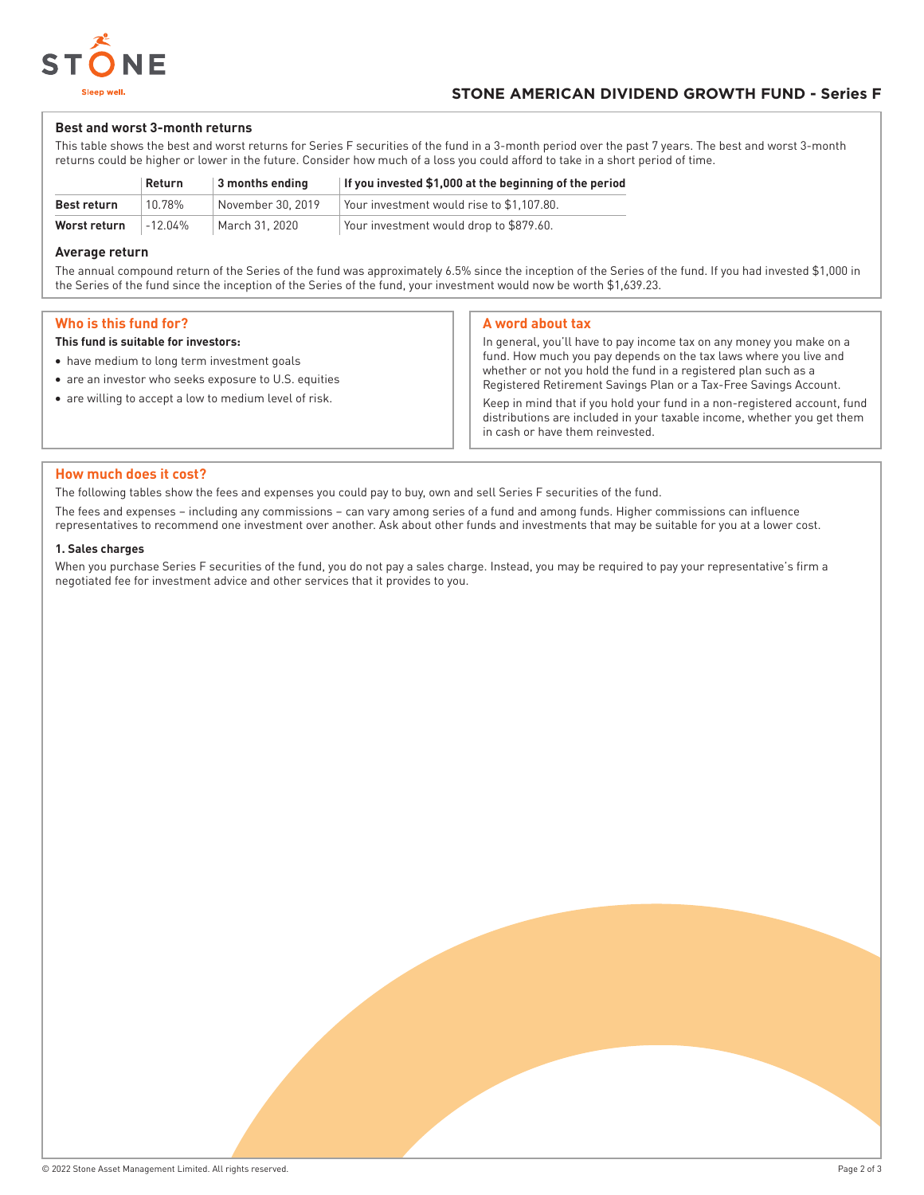

#### **Best and worst 3-month returns**

This table shows the best and worst returns for Series F securities of the fund in a 3-month period over the past 7 years. The best and worst 3-month returns could be higher or lower in the future. Consider how much of a loss you could afford to take in a short period of time.

|              | Return  | 3 months ending   | If you invested \$1,000 at the beginning of the period |
|--------------|---------|-------------------|--------------------------------------------------------|
| Best return  | 10.78%  | November 30, 2019 | Your investment would rise to \$1.107.80.              |
| Worst return | -12.04% | March 31, 2020    | Your investment would drop to \$879.60.                |

#### **Average return**

The annual compound return of the Series of the fund was approximately 6.5% since the inception of the Series of the fund. If you had invested \$1,000 in the Series of the fund since the inception of the Series of the fund, your investment would now be worth \$1,639.23.

## **Who is this fund for?**

#### **This fund is suitable for investors:**

- have medium to long term investment goals
- are an investor who seeks exposure to U.S. equities
- are willing to accept a low to medium level of risk.

#### **A word about tax**

In general, you'll have to pay income tax on any money you make on a fund. How much you pay depends on the tax laws where you live and whether or not you hold the fund in a registered plan such as a Registered Retirement Savings Plan or a Tax-Free Savings Account.

Keep in mind that if you hold your fund in a non-registered account, fund distributions are included in your taxable income, whether you get them in cash or have them reinvested.

#### **How much does it cost?**

The following tables show the fees and expenses you could pay to buy, own and sell Series F securities of the fund.

The fees and expenses – including any commissions – can vary among series of a fund and among funds. Higher commissions can influence representatives to recommend one investment over another. Ask about other funds and investments that may be suitable for you at a lower cost.

#### **1. Sales charges**

When you purchase Series F securities of the fund, you do not pay a sales charge. Instead, you may be required to pay your representative's firm a negotiated fee for investment advice and other services that it provides to you.